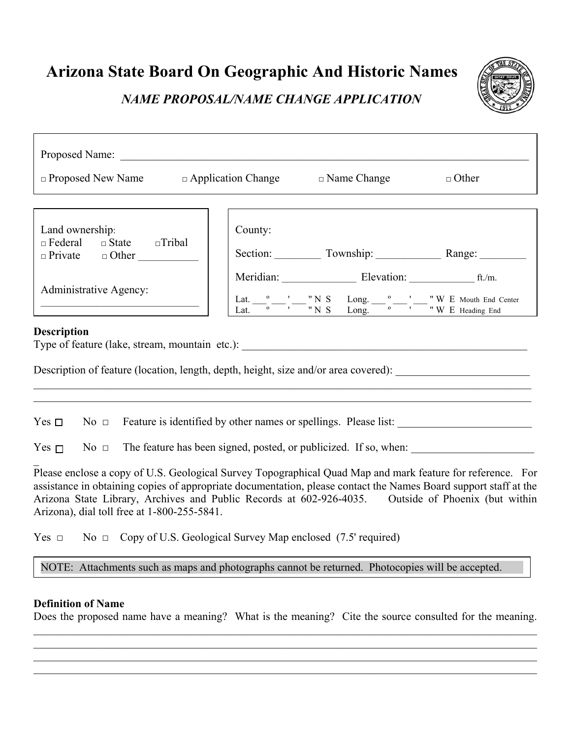**Arizona State Board On Geographic And Historic Names** 

*NAME PROPOSAL/NAME CHANGE APPLICATION* 



#### **Definition of Name**

Does the proposed name have a meaning? What is the meaning? Cite the source consulted for the meaning.  $\mathcal{L}_\mathcal{L} = \mathcal{L}_\mathcal{L} = \mathcal{L}_\mathcal{L} = \mathcal{L}_\mathcal{L} = \mathcal{L}_\mathcal{L} = \mathcal{L}_\mathcal{L} = \mathcal{L}_\mathcal{L} = \mathcal{L}_\mathcal{L} = \mathcal{L}_\mathcal{L} = \mathcal{L}_\mathcal{L} = \mathcal{L}_\mathcal{L} = \mathcal{L}_\mathcal{L} = \mathcal{L}_\mathcal{L} = \mathcal{L}_\mathcal{L} = \mathcal{L}_\mathcal{L} = \mathcal{L}_\mathcal{L} = \mathcal{L}_\mathcal{L}$ 

 $\mathcal{L}_\mathcal{L} = \mathcal{L}_\mathcal{L} = \mathcal{L}_\mathcal{L} = \mathcal{L}_\mathcal{L} = \mathcal{L}_\mathcal{L} = \mathcal{L}_\mathcal{L} = \mathcal{L}_\mathcal{L} = \mathcal{L}_\mathcal{L} = \mathcal{L}_\mathcal{L} = \mathcal{L}_\mathcal{L} = \mathcal{L}_\mathcal{L} = \mathcal{L}_\mathcal{L} = \mathcal{L}_\mathcal{L} = \mathcal{L}_\mathcal{L} = \mathcal{L}_\mathcal{L} = \mathcal{L}_\mathcal{L} = \mathcal{L}_\mathcal{L}$  $\mathcal{L}_\mathcal{L} = \mathcal{L}_\mathcal{L} = \mathcal{L}_\mathcal{L} = \mathcal{L}_\mathcal{L} = \mathcal{L}_\mathcal{L} = \mathcal{L}_\mathcal{L} = \mathcal{L}_\mathcal{L} = \mathcal{L}_\mathcal{L} = \mathcal{L}_\mathcal{L} = \mathcal{L}_\mathcal{L} = \mathcal{L}_\mathcal{L} = \mathcal{L}_\mathcal{L} = \mathcal{L}_\mathcal{L} = \mathcal{L}_\mathcal{L} = \mathcal{L}_\mathcal{L} = \mathcal{L}_\mathcal{L} = \mathcal{L}_\mathcal{L}$  $\mathcal{L}_\mathcal{L} = \mathcal{L}_\mathcal{L} = \mathcal{L}_\mathcal{L} = \mathcal{L}_\mathcal{L} = \mathcal{L}_\mathcal{L} = \mathcal{L}_\mathcal{L} = \mathcal{L}_\mathcal{L} = \mathcal{L}_\mathcal{L} = \mathcal{L}_\mathcal{L} = \mathcal{L}_\mathcal{L} = \mathcal{L}_\mathcal{L} = \mathcal{L}_\mathcal{L} = \mathcal{L}_\mathcal{L} = \mathcal{L}_\mathcal{L} = \mathcal{L}_\mathcal{L} = \mathcal{L}_\mathcal{L} = \mathcal{L}_\mathcal{L}$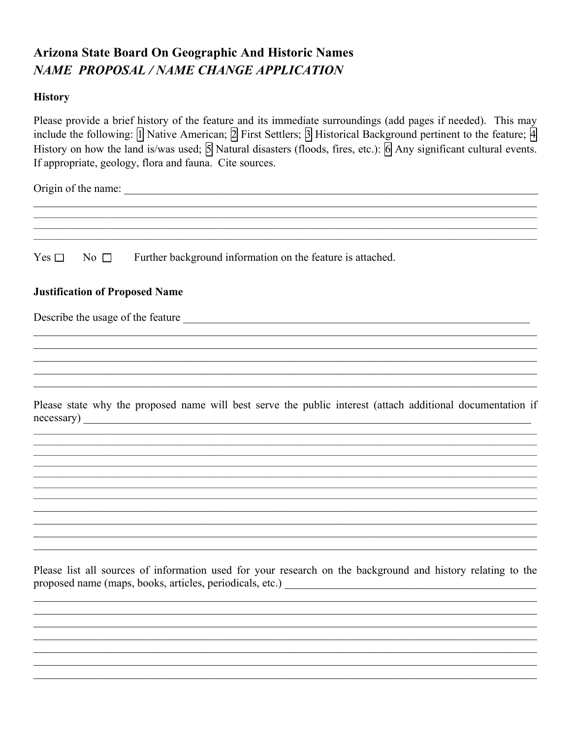# **Arizona State Board On Geographic And Historic Names NAME PROPOSAL / NAME CHANGE APPLICATION**

### **History**

Please provide a brief history of the feature and its immediate surroundings (add pages if needed). This may include the following:  $\[\Pi\]$  Native American;  $\[\n2\]$  First Settlers;  $\[\n3\]$  Historical Background pertinent to the feature;  $\[\n4\]$ History on how the land is/was used;  $\overline{5}$  Natural disasters (floods, fires, etc.):  $\overline{6}$  Any significant cultural events. If appropriate, geology, flora and fauna. Cite sources.

Yes  $\Box$ Further background information on the feature is attached. No  $\Box$ 

### **Justification of Proposed Name**

Describe the usage of the feature

Please state why the proposed name will best serve the public interest (attach additional documentation if  $necessary)$ 

Please list all sources of information used for your research on the background and history relating to the proposed name (maps, books, articles, periodicals, etc.)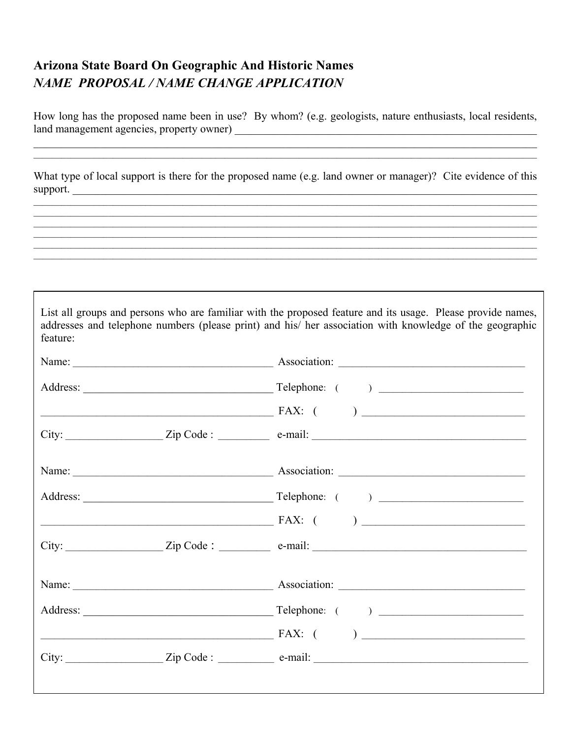## **Arizona State Board On Geographic And Historic Names** NAME PROPOSAL / NAME CHANGE APPLICATION

<u> 1989 - Johann John Barn, mars an t-Amerikaansk komponister (</u>

How long has the proposed name been in use? By whom? (e.g. geologists, nature enthusiasts, local residents, 

What type of local support is there for the proposed name (e.g. land owner or manager)? Cite evidence of this support.

| feature: | List all groups and persons who are familiar with the proposed feature and its usage. Please provide names,<br>addresses and telephone numbers (please print) and his/ her association with knowledge of the geographic                                                                                                         |
|----------|---------------------------------------------------------------------------------------------------------------------------------------------------------------------------------------------------------------------------------------------------------------------------------------------------------------------------------|
|          |                                                                                                                                                                                                                                                                                                                                 |
|          |                                                                                                                                                                                                                                                                                                                                 |
|          |                                                                                                                                                                                                                                                                                                                                 |
|          |                                                                                                                                                                                                                                                                                                                                 |
|          |                                                                                                                                                                                                                                                                                                                                 |
|          |                                                                                                                                                                                                                                                                                                                                 |
|          | $\overbrace{PAX: ($                                                                                                                                                                                                                                                                                                             |
|          | $City:$ $\qquad \qquad \qquad \qquad \text{Zip Code :} \qquad \qquad \text{e-mail:}$                                                                                                                                                                                                                                            |
|          |                                                                                                                                                                                                                                                                                                                                 |
|          |                                                                                                                                                                                                                                                                                                                                 |
|          | $FAX: ($ ) $)$ $\qquad$ $)$ $\qquad$ $\qquad$ $)$ $\qquad$ $\qquad$ $\qquad$ $\qquad$ $\qquad$ $\qquad$ $\qquad$ $\qquad$ $\qquad$ $\qquad$ $\qquad$ $\qquad$ $\qquad$ $\qquad$ $\qquad$ $\qquad$ $\qquad$ $\qquad$ $\qquad$ $\qquad$ $\qquad$ $\qquad$ $\qquad$ $\qquad$ $\qquad$ $\qquad$ $\qquad$ $\qquad$ $\qquad$ $\qquad$ |
|          |                                                                                                                                                                                                                                                                                                                                 |